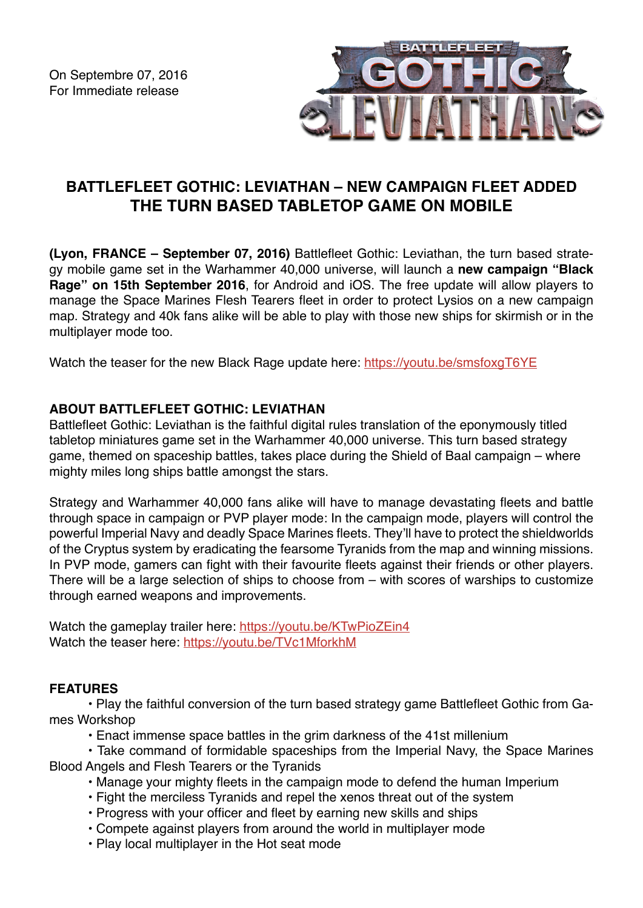

# **BATTLEFLEET GOTHIC: LEVIATHAN – NEW CAMPAIGN FLEET ADDED THE TURN BASED TABLETOP GAME ON MOBILE**

**(Lyon, FRANCE – September 07, 2016)** Battlefleet Gothic: Leviathan, the turn based strategy mobile game set in the Warhammer 40,000 universe, will launch a **new campaign "Black Rage" on 15th September 2016**, for Android and iOS. The free update will allow players to manage the Space Marines Flesh Tearers fleet in order to protect Lysios on a new campaign map. Strategy and 40k fans alike will be able to play with those new ships for skirmish or in the multiplayer mode too.

Watch the teaser for the new Black Rage update here:<https://youtu.be/smsfoxgT6YE>

## **ABOUT BATTLEFLEET GOTHIC: LEVIATHAN**

Battlefleet Gothic: Leviathan is the faithful digital rules translation of the eponymously titled tabletop miniatures game set in the Warhammer 40,000 universe. This turn based strategy game, themed on spaceship battles, takes place during the Shield of Baal campaign – where mighty miles long ships battle amongst the stars.

Strategy and Warhammer 40,000 fans alike will have to manage devastating fleets and battle through space in campaign or PVP player mode: In the campaign mode, players will control the powerful Imperial Navy and deadly Space Marines fleets. They'll have to protect the shieldworlds of the Cryptus system by eradicating the fearsome Tyranids from the map and winning missions. In PVP mode, gamers can fight with their favourite fleets against their friends or other players. There will be a large selection of ships to choose from – with scores of warships to customize through earned weapons and improvements.

Watch the gameplay trailer here: <https://youtu.be/KTwPioZEin4> Watch the teaser here: <https://youtu.be/TVc1MforkhM>

## **FEATURES**

• Play the faithful conversion of the turn based strategy game Battlefleet Gothic from Games Workshop

• Enact immense space battles in the grim darkness of the 41st millenium

• Take command of formidable spaceships from the Imperial Navy, the Space Marines Blood Angels and Flesh Tearers or the Tyranids

- Manage your mighty fleets in the campaign mode to defend the human Imperium
- Fight the merciless Tyranids and repel the xenos threat out of the system
- Progress with your officer and fleet by earning new skills and ships
- Compete against players from around the world in multiplayer mode
- Play local multiplayer in the Hot seat mode